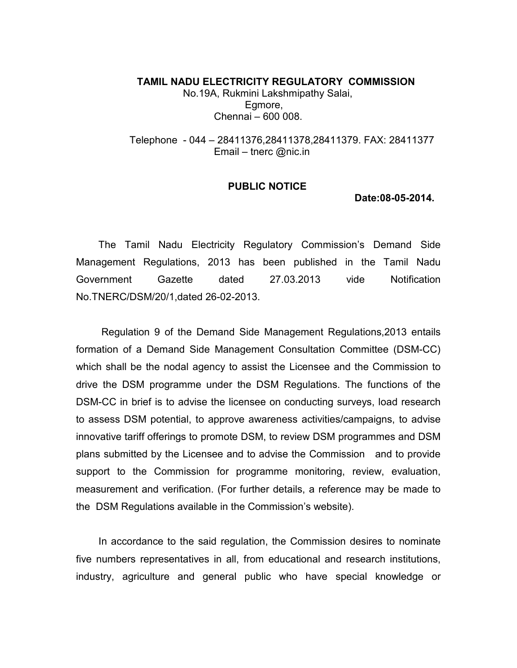TAMIL NADU ELECTRICITY REGULATORY COMMISSION No.19A, Rukmini Lakshmipathy Salai, Egmore, Chennai – 600 008.

 Telephone - 044 – 28411376,28411378,28411379. FAX: 28411377 Email – tnerc @nic.in

## PUBLIC NOTICE

Date:08-05-2014.

 The Tamil Nadu Electricity Regulatory Commission's Demand Side Management Regulations, 2013 has been published in the Tamil Nadu Government Gazette dated 27.03.2013 vide Notification No.TNERC/DSM/20/1,dated 26-02-2013.

 Regulation 9 of the Demand Side Management Regulations,2013 entails formation of a Demand Side Management Consultation Committee (DSM-CC) which shall be the nodal agency to assist the Licensee and the Commission to drive the DSM programme under the DSM Regulations. The functions of the DSM-CC in brief is to advise the licensee on conducting surveys, load research to assess DSM potential, to approve awareness activities/campaigns, to advise innovative tariff offerings to promote DSM, to review DSM programmes and DSM plans submitted by the Licensee and to advise the Commission and to provide support to the Commission for programme monitoring, review, evaluation, measurement and verification. (For further details, a reference may be made to the DSM Regulations available in the Commission's website).

 In accordance to the said regulation, the Commission desires to nominate five numbers representatives in all, from educational and research institutions, industry, agriculture and general public who have special knowledge or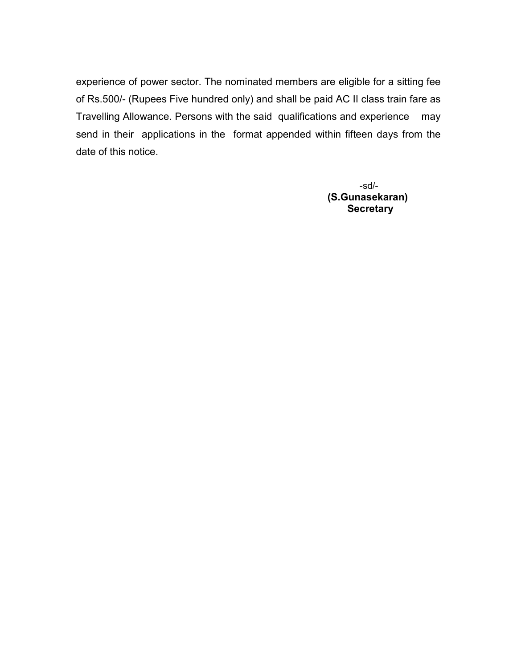experience of power sector. The nominated members are eligible for a sitting fee of Rs.500/- (Rupees Five hundred only) and shall be paid AC II class train fare as Travelling Allowance. Persons with the said qualifications and experience may send in their applications in the format appended within fifteen days from the date of this notice.

 -sd/- (S.Gunasekaran) **Secretary**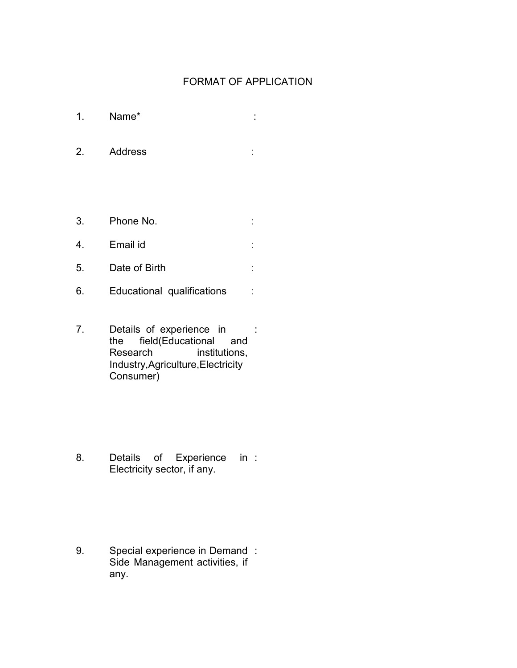## FORMAT OF APPLICATION

- 1. Name\* :
- 2. Address :
- 3. Phone No. :
- 4. Email id : 5. Date of Birth :
- 6. Educational qualifications :
- 7. Details of experience in the field(Educational and Research institutions, Industry,Agriculture,Electricity Consumer) :

8. Details of Experience in : Electricity sector, if any.

9. Special experience in Demand : Side Management activities, if any.